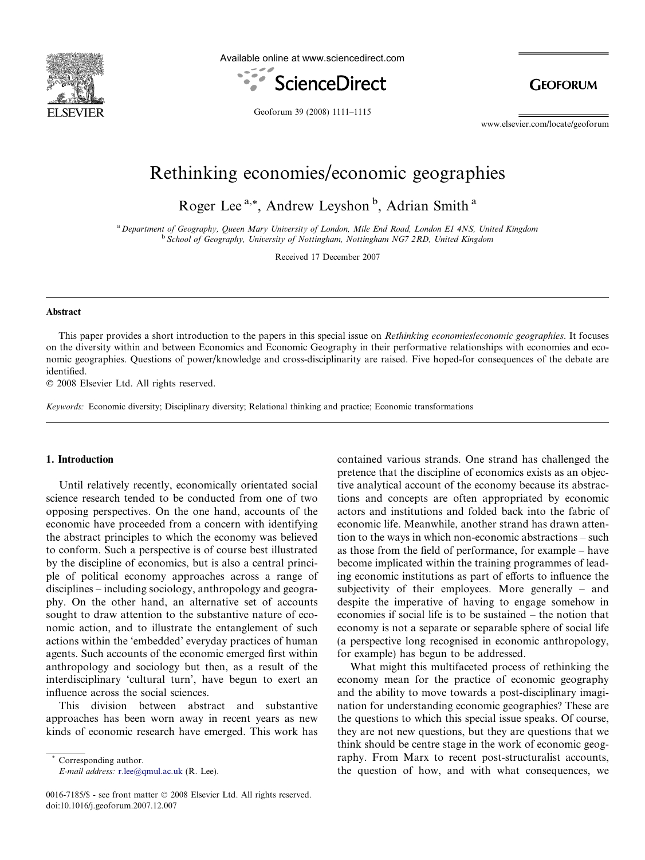

Available online at www.sciencedirect.com



**GEOFORUM** 

Geoforum 39 (2008) 1111–1115

www.elsevier.com/locate/geoforum

## Rethinking economies/economic geographies

Roger Lee<sup>a,\*</sup>, Andrew Leyshon<sup>b</sup>, Adrian Smith<sup>a</sup>

<sup>a</sup> Department of Geography, Queen Mary University of London, Mile End Road, London E1 4NS, United Kingdom <sup>b</sup> School of Geography, University of Nottingham, Nottingham NG7 2RD, United Kingdom

Received 17 December 2007

#### Abstract

This paper provides a short introduction to the papers in this special issue on *Rethinking economies/economic geographies*. It focuses on the diversity within and between Economics and Economic Geography in their performative relationships with economies and economic geographies. Questions of power/knowledge and cross-disciplinarity are raised. Five hoped-for consequences of the debate are identified.

© 2008 Elsevier Ltd. All rights reserved.

Keywords: Economic diversity; Disciplinary diversity; Relational thinking and practice; Economic transformations

#### 1. Introduction

Until relatively recently, economically orientated social science research tended to be conducted from one of two opposing perspectives. On the one hand, accounts of the economic have proceeded from a concern with identifying the abstract principles to which the economy was believed to conform. Such a perspective is of course best illustrated by the discipline of economics, but is also a central principle of political economy approaches across a range of disciplines – including sociology, anthropology and geography. On the other hand, an alternative set of accounts sought to draw attention to the substantive nature of economic action, and to illustrate the entanglement of such actions within the 'embedded' everyday practices of human agents. Such accounts of the economic emerged first within anthropology and sociology but then, as a result of the interdisciplinary 'cultural turn', have begun to exert an influence across the social sciences.

This division between abstract and substantive approaches has been worn away in recent years as new kinds of economic research have emerged. This work has

Corresponding author. E-mail address: [r.lee@qmul.ac.uk](mailto:r.lee@qmul.ac.uk) (R. Lee).

0016-7185/\$ - see front matter © 2008 Elsevier Ltd. All rights reserved. doi:10.1016/j.geoforum.2007.12.007

contained various strands. One strand has challenged the pretence that the discipline of economics exists as an objective analytical account of the economy because its abstractions and concepts are often appropriated by economic actors and institutions and folded back into the fabric of economic life. Meanwhile, another strand has drawn attention to the ways in which non-economic abstractions – such as those from the field of performance, for example – have become implicated within the training programmes of leading economic institutions as part of efforts to influence the subjectivity of their employees. More generally – and despite the imperative of having to engage somehow in economies if social life is to be sustained – the notion that economy is not a separate or separable sphere of social life (a perspective long recognised in economic anthropology, for example) has begun to be addressed.

What might this multifaceted process of rethinking the economy mean for the practice of economic geography and the ability to move towards a post-disciplinary imagination for understanding economic geographies? These are the questions to which this special issue speaks. Of course, they are not new questions, but they are questions that we think should be centre stage in the work of economic geography. From Marx to recent post-structuralist accounts, the question of how, and with what consequences, we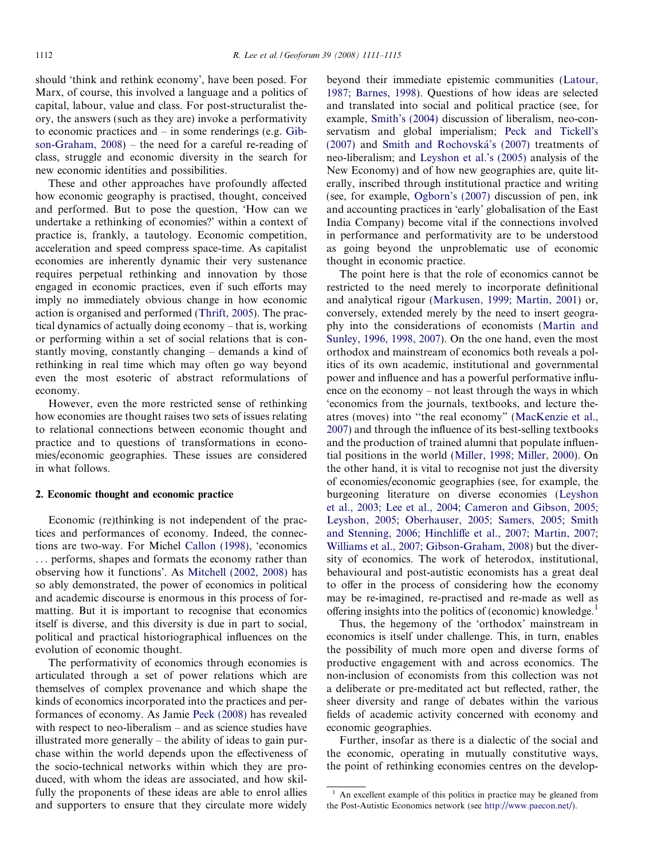should 'think and rethink economy', have been posed. For Marx, of course, this involved a language and a politics of capital, labour, value and class. For post-structuralist theory, the answers (such as they are) invoke a performativity to economic practices and – in some renderings (e.g. [Gib](#page--1-0)[son-Graham, 2008](#page--1-0)) – the need for a careful re-reading of class, struggle and economic diversity in the search for new economic identities and possibilities.

These and other approaches have profoundly affected how economic geography is practised, thought, conceived and performed. But to pose the question, 'How can we undertake a rethinking of economies?' within a context of practice is, frankly, a tautology. Economic competition, acceleration and speed compress space-time. As capitalist economies are inherently dynamic their very sustenance requires perpetual rethinking and innovation by those engaged in economic practices, even if such efforts may imply no immediately obvious change in how economic action is organised and performed ([Thrift, 2005](#page--1-0)). The practical dynamics of actually doing economy – that is, working or performing within a set of social relations that is constantly moving, constantly changing – demands a kind of rethinking in real time which may often go way beyond even the most esoteric of abstract reformulations of economy.

However, even the more restricted sense of rethinking how economies are thought raises two sets of issues relating to relational connections between economic thought and practice and to questions of transformations in economies/economic geographies. These issues are considered in what follows.

### 2. Economic thought and economic practice

Economic (re)thinking is not independent of the practices and performances of economy. Indeed, the connections are two-way. For Michel [Callon \(1998\)](#page--1-0), 'economics ... performs, shapes and formats the economy rather than observing how it functions'. As [Mitchell \(2002, 2008\)](#page--1-0) has so ably demonstrated, the power of economics in political and academic discourse is enormous in this process of formatting. But it is important to recognise that economics itself is diverse, and this diversity is due in part to social, political and practical historiographical influences on the evolution of economic thought.

The performativity of economics through economies is articulated through a set of power relations which are themselves of complex provenance and which shape the kinds of economics incorporated into the practices and performances of economy. As Jamie [Peck \(2008\)](#page--1-0) has revealed with respect to neo-liberalism – and as science studies have illustrated more generally – the ability of ideas to gain purchase within the world depends upon the effectiveness of the socio-technical networks within which they are produced, with whom the ideas are associated, and how skilfully the proponents of these ideas are able to enrol allies and supporters to ensure that they circulate more widely

beyond their immediate epistemic communities [\(Latour,](#page--1-0) [1987; Barnes, 1998\)](#page--1-0). Questions of how ideas are selected and translated into social and political practice (see, for example, [Smith's \(2004\)](#page--1-0) discussion of liberalism, neo-conservatism and global imperialism; [Peck and Tickell's](#page--1-0) [\(2007\)](#page--1-0) and [Smith and Rochovska´'s \(2007\)](#page--1-0) treatments of neo-liberalism; and [Leyshon et al.'s \(2005\)](#page--1-0) analysis of the New Economy) and of how new geographies are, quite literally, inscribed through institutional practice and writing (see, for example, [Ogborn's \(2007\)](#page--1-0) discussion of pen, ink and accounting practices in 'early' globalisation of the East India Company) become vital if the connections involved in performance and performativity are to be understood as going beyond the unproblematic use of economic thought in economic practice.

The point here is that the role of economics cannot be restricted to the need merely to incorporate definitional and analytical rigour [\(Markusen, 1999; Martin, 2001\)](#page--1-0) or, conversely, extended merely by the need to insert geography into the considerations of economists [\(Martin and](#page--1-0) [Sunley, 1996, 1998, 2007](#page--1-0)). On the one hand, even the most orthodox and mainstream of economics both reveals a politics of its own academic, institutional and governmental power and influence and has a powerful performative influence on the economy – not least through the ways in which 'economics from the journals, textbooks, and lecture theatres (moves) into ''the real economy" ([MacKenzie et al.,](#page--1-0) [2007\)](#page--1-0) and through the influence of its best-selling textbooks and the production of trained alumni that populate influential positions in the world ([Miller, 1998; Miller, 2000](#page--1-0)). On the other hand, it is vital to recognise not just the diversity of economies/economic geographies (see, for example, the burgeoning literature on diverse economies [\(Leyshon](#page--1-0) [et al., 2003; Lee et al., 2004; Cameron and Gibson, 2005;](#page--1-0) [Leyshon, 2005; Oberhauser, 2005; Samers, 2005; Smith](#page--1-0) [and Stenning, 2006; Hinchliffe et al., 2007; Martin, 2007;](#page--1-0) [Williams et al., 2007; Gibson-Graham, 2008](#page--1-0)) but the diversity of economics. The work of heterodox, institutional, behavioural and post-autistic economists has a great deal to offer in the process of considering how the economy may be re-imagined, re-practised and re-made as well as offering insights into the politics of (economic) knowledge.<sup>1</sup>

Thus, the hegemony of the 'orthodox' mainstream in economics is itself under challenge. This, in turn, enables the possibility of much more open and diverse forms of productive engagement with and across economics. The non-inclusion of economists from this collection was not a deliberate or pre-meditated act but reflected, rather, the sheer diversity and range of debates within the various fields of academic activity concerned with economy and economic geographies.

Further, insofar as there is a dialectic of the social and the economic, operating in mutually constitutive ways, the point of rethinking economies centres on the develop-

 $1$  An excellent example of this politics in practice may be gleaned from the Post-Autistic Economics network (see [http://www.paecon.net/\)](http://www.paecon.net/).